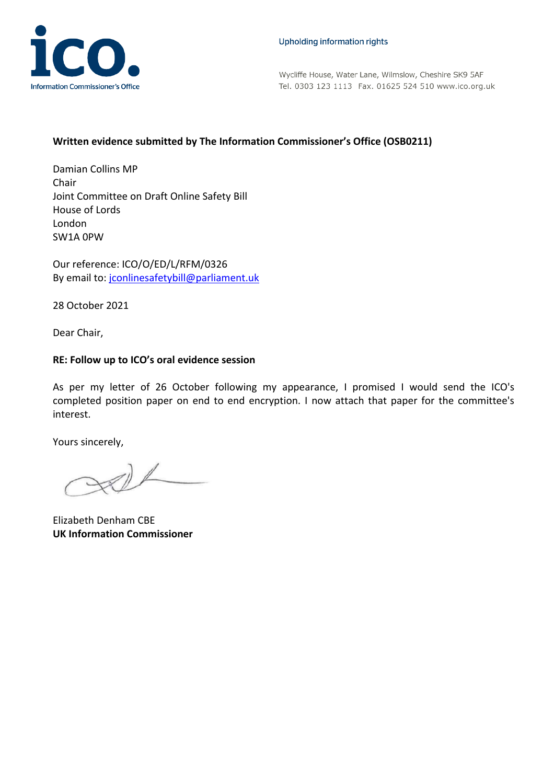

Wycliffe House, Water Lane, Wilmslow, Cheshire SK9 5AF Tel. 0303 123 1113 Fax. 01625 524 510 www.ico.org.uk

## **Written evidence submitted by The Information Commissioner's Office (OSB0211)**

Damian Collins MP Chair Joint Committee on Draft Online Safety Bill House of Lords London SW1A 0PW

Our reference: ICO/O/ED/L/RFM/0326 By email to: [jconlinesafetybill@parliament.uk](mailto:jconlinesafetybill@parliament.uk)

28 October 2021

Dear Chair,

## **RE: Follow up to ICO's oral evidence session**

As per my letter of 26 October following my appearance, I promised I would send the ICO's completed position paper on end to end encryption. I now attach that paper for the committee's interest.

Yours sincerely,

 $\mathcal{D}$ 

Elizabeth Denham CBE **UK Information Commissioner**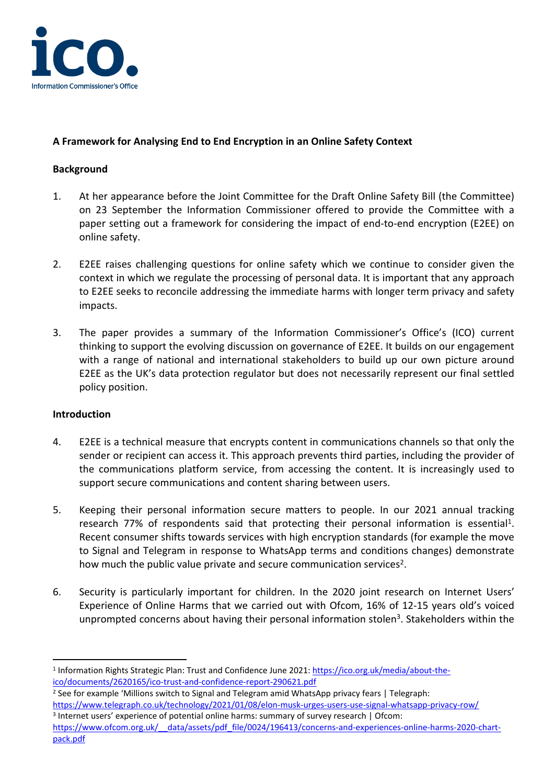

# **A Framework for Analysing End to End Encryption in an Online Safety Context**

## **Background**

- 1. At her appearance before the Joint Committee for the Draft Online Safety Bill (the Committee) on 23 September the Information Commissioner offered to provide the Committee with a paper setting out a framework for considering the impact of end-to-end encryption (E2EE) on online safety.
- 2. E2EE raises challenging questions for online safety which we continue to consider given the context in which we regulate the processing of personal data. It is important that any approach to E2EE seeks to reconcile addressing the immediate harms with longer term privacy and safety impacts.
- 3. The paper provides a summary of the Information Commissioner's Office's (ICO) current thinking to support the evolving discussion on governance of E2EE. It builds on our engagement with a range of national and international stakeholders to build up our own picture around E2EE as the UK's data protection regulator but does not necessarily represent our final settled policy position.

### **Introduction**

- 4. E2EE is a technical measure that encrypts content in communications channels so that only the sender or recipient can access it. This approach prevents third parties, including the provider of the communications platform service, from accessing the content. It is increasingly used to support secure communications and content sharing between users.
- 5. Keeping their personal information secure matters to people. In our 2021 annual tracking research 77% of respondents said that protecting their personal information is essential<sup>1</sup>. Recent consumer shifts towards services with high encryption standards (for example the move to Signal and Telegram in response to WhatsApp terms and conditions changes) demonstrate how much the public value private and secure communication services<sup>2</sup>.
- 6. Security is particularly important for children. In the 2020 joint research on Internet Users' Experience of Online Harms that we carried out with Ofcom, 16% of 12-15 years old's voiced unprompted concerns about having their personal information stolen<sup>3</sup>. Stakeholders within the

<sup>&</sup>lt;sup>1</sup> Information Rights Strategic Plan: Trust and Confidence June 2021: [https://ico.org.uk/media/about-the](https://ico.org.uk/media/about-the-ico/documents/2620165/ico-trust-and-confidence-report-290621.pdf)[ico/documents/2620165/ico-trust-and-confidence-report-290621.pdf](https://ico.org.uk/media/about-the-ico/documents/2620165/ico-trust-and-confidence-report-290621.pdf)

<sup>&</sup>lt;sup>2</sup> See for example 'Millions switch to Signal and Telegram amid WhatsApp privacy fears | Telegraph:

<https://www.telegraph.co.uk/technology/2021/01/08/elon-musk-urges-users-use-signal-whatsapp-privacy-row/> <sup>3</sup> Internet users' experience of potential online harms: summary of survey research | Ofcom:

https://www.ofcom.org.uk/ data/assets/pdf file/0024/196413/concerns-and-experiences-online-harms-2020-chart[pack.pdf](https://www.ofcom.org.uk/__data/assets/pdf_file/0024/196413/concerns-and-experiences-online-harms-2020-chart-pack.pdf)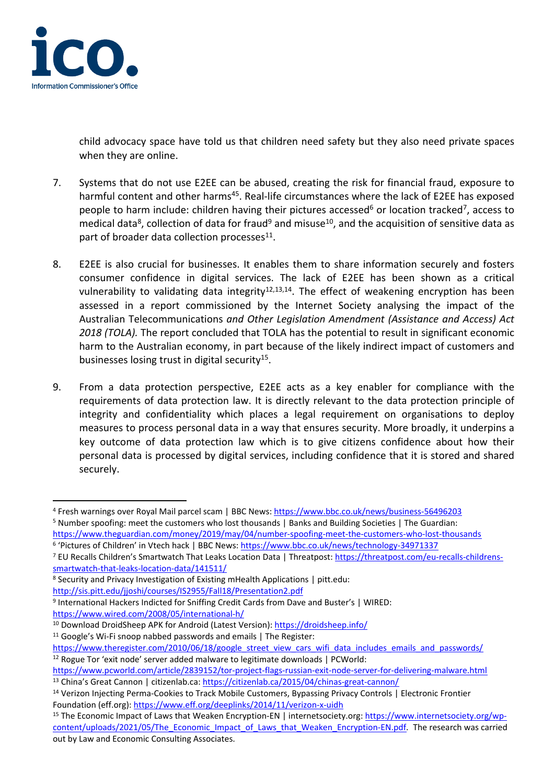

child advocacy space have told us that children need safety but they also need private spaces when they are online.

- 7. Systems that do not use E2EE can be abused, creating the risk for financial fraud, exposure to harmful content and other harms<sup>45</sup>. Real-life circumstances where the lack of E2EE has exposed people to harm include: children having their pictures accessed<sup>6</sup> or location tracked<sup>7</sup>, access to medical data<sup>8</sup>, collection of data for fraud<sup>9</sup> and misuse<sup>10</sup>, and the acquisition of sensitive data as part of broader data collection processes<sup>11</sup>.
- 8. E2EE is also crucial for businesses. It enables them to share information securely and fosters consumer confidence in digital services. The lack of E2EE has been shown as a critical vulnerability to validating data integrity<sup>12,13,14</sup>. The effect of weakening encryption has been assessed in a report commissioned by the Internet Society analysing the impact of the Australian Telecommunications *and Other Legislation Amendment (Assistance and Access) Act 2018 (TOLA).* The report concluded that TOLA has the potential to result in significant economic harm to the Australian economy, in part because of the likely indirect impact of customers and businesses losing trust in digital security<sup>15</sup>.
- 9. From a data protection perspective, E2EE acts as a key enabler for compliance with the requirements of data protection law. It is directly relevant to the data protection principle of integrity and confidentiality which places a legal requirement on organisations to deploy measures to process personal data in a way that ensures security. More broadly, it underpins a key outcome of data protection law which is to give citizens confidence about how their personal data is processed by digital services, including confidence that it is stored and shared securely.

<sup>4</sup> Fresh warnings over Royal Mail parcel scam | BBC News: <https://www.bbc.co.uk/news/business-56496203> <sup>5</sup> Number spoofing: meet the customers who lost thousands | Banks and Building Societies | The Guardian:

<https://www.theguardian.com/money/2019/may/04/number-spoofing-meet-the-customers-who-lost-thousands> <sup>6</sup> 'Pictures of Children' in Vtech hack | BBC News: <https://www.bbc.co.uk/news/technology-34971337>

<sup>7</sup> EU Recalls Children's Smartwatch That Leaks Location Data | Threatpost: [https://threatpost.com/eu-recalls-childrens](https://threatpost.com/eu-recalls-childrens-smartwatch-that-leaks-location-data/141511/)[smartwatch-that-leaks-location-data/141511/](https://threatpost.com/eu-recalls-childrens-smartwatch-that-leaks-location-data/141511/)

<sup>8</sup> Security and Privacy Investigation of Existing mHealth Applications | pitt.edu:

<http://sis.pitt.edu/jjoshi/courses/IS2955/Fall18/Presentation2.pdf>

<sup>&</sup>lt;sup>9</sup> International Hackers Indicted for Sniffing Credit Cards from Dave and Buster's | WIRED: <https://www.wired.com/2008/05/international-h/>

<sup>10</sup> Download DroidSheep APK for Android (Latest Version): <https://droidsheep.info/> <sup>11</sup> Google's Wi-Fi snoop nabbed passwords and emails | The Register:

[https://www.theregister.com/2010/06/18/google\\_street\\_view\\_cars\\_wifi\\_data\\_includes\\_emails\\_and\\_passwords/](https://www.theregister.com/2010/06/18/google_street_view_cars_wifi_data_includes_emails_and_passwords/) <sup>12</sup> Rogue Tor 'exit node' server added malware to legitimate downloads | PCWorld:

<https://www.pcworld.com/article/2839152/tor-project-flags-russian-exit-node-server-for-delivering-malware.html> <sup>13</sup> China's Great Cannon | citizenlab.ca: <https://citizenlab.ca/2015/04/chinas-great-cannon/>

<sup>14</sup> Verizon Injecting Perma-Cookies to Track Mobile Customers, Bypassing Privacy Controls | Electronic Frontier Foundation (eff.org): <https://www.eff.org/deeplinks/2014/11/verizon-x-uidh>

<sup>&</sup>lt;sup>15</sup> The Economic Impact of Laws that Weaken Encryption-EN | internetsociety.org: [https://www.internetsociety.org/wp](https://www.internetsociety.org/wp-content/uploads/2021/05/The_Economic_Impact_of_Laws_that_Weaken_Encryption-EN.pdf)[content/uploads/2021/05/The\\_Economic\\_Impact\\_of\\_Laws\\_that\\_Weaken\\_Encryption-EN.pdf.](https://www.internetsociety.org/wp-content/uploads/2021/05/The_Economic_Impact_of_Laws_that_Weaken_Encryption-EN.pdf) The research was carried out by Law and Economic Consulting Associates.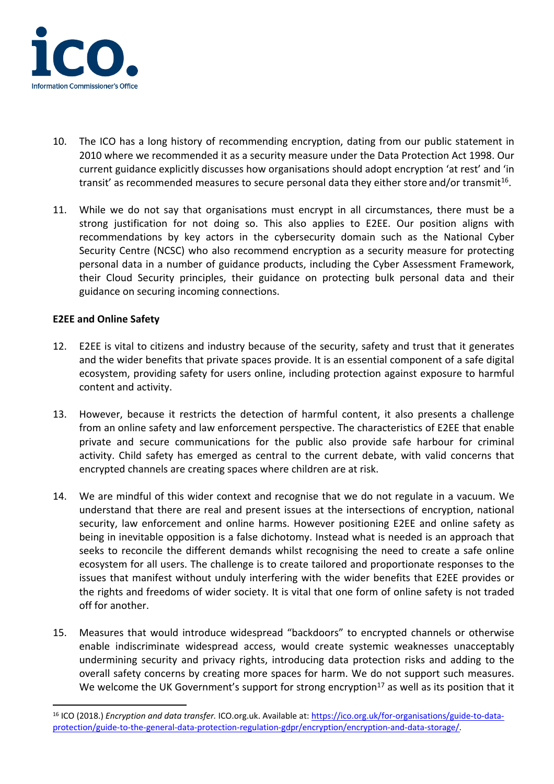

- 10. The ICO has a long history of recommending encryption, dating from our public statement in 2010 where we recommended it as a security measure under the Data Protection Act 1998. Our current guidance explicitly discusses how organisations should adopt encryption 'at rest' and 'in transit' as recommended measures to secure personal data they either store and/or transmit<sup>16</sup>.
- 11. While we do not say that organisations must encrypt in all circumstances, there must be a strong justification for not doing so. This also applies to E2EE. Our position aligns with recommendations by key actors in the cybersecurity domain such as the National Cyber Security Centre (NCSC) who also recommend encryption as a security measure for protecting personal data in a number of guidance products, including the Cyber Assessment Framework, their Cloud Security principles, their guidance on protecting bulk personal data and their guidance on securing incoming connections.

## **E2EE and Online Safety**

- 12. E2EE is vital to citizens and industry because of the security, safety and trust that it generates and the wider benefits that private spaces provide. It is an essential component of a safe digital ecosystem, providing safety for users online, including protection against exposure to harmful content and activity.
- 13. However, because it restricts the detection of harmful content, it also presents a challenge from an online safety and law enforcement perspective. The characteristics of E2EE that enable private and secure communications for the public also provide safe harbour for criminal activity. Child safety has emerged as central to the current debate, with valid concerns that encrypted channels are creating spaces where children are at risk.
- 14. We are mindful of this wider context and recognise that we do not regulate in a vacuum. We understand that there are real and present issues at the intersections of encryption, national security, law enforcement and online harms. However positioning E2EE and online safety as being in inevitable opposition is a false dichotomy. Instead what is needed is an approach that seeks to reconcile the different demands whilst recognising the need to create a safe online ecosystem for all users. The challenge is to create tailored and proportionate responses to the issues that manifest without unduly interfering with the wider benefits that E2EE provides or the rights and freedoms of wider society. It is vital that one form of online safety is not traded off for another.
- 15. Measures that would introduce widespread "backdoors" to encrypted channels or otherwise enable indiscriminate widespread access, would create systemic weaknesses unacceptably undermining security and privacy rights, introducing data protection risks and adding to the overall safety concerns by creating more spaces for harm. We do not support such measures. We welcome the UK Government's support for strong encryption<sup>17</sup> as well as its position that it

<sup>16</sup> ICO (2018.) *Encryption and data transfer.* ICO.org.uk. Available at: [https://ico.org.uk/for-organisations/guide-to-data](https://ico.org.uk/for-organisations/guide-to-data-protection/guide-to-the-general-data-protection-regulation-gdpr/encryption/encryption-and-data-storage/)[protection/guide-to-the-general-data-protection-regulation-gdpr/encryption/encryption-and-data-storage/.](https://ico.org.uk/for-organisations/guide-to-data-protection/guide-to-the-general-data-protection-regulation-gdpr/encryption/encryption-and-data-storage/)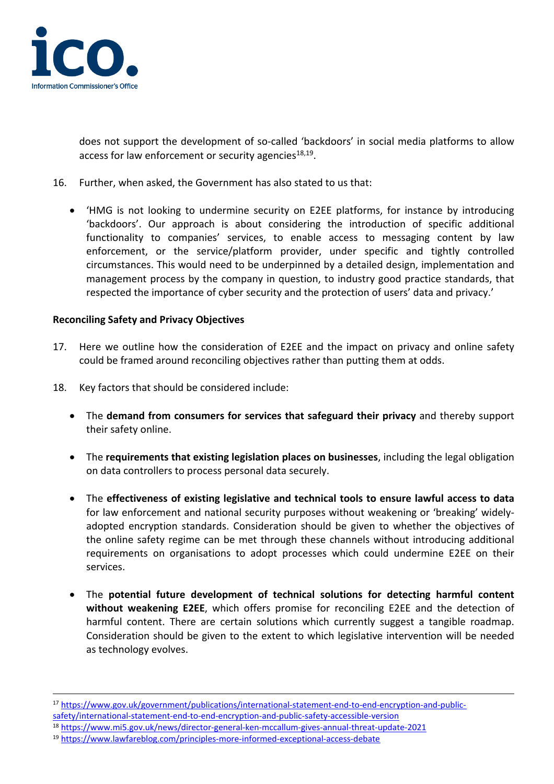

does not support the development of so-called 'backdoors' in social media platforms to allow access for law enforcement or security agencies<sup>18,19</sup>.

- 16. Further, when asked, the Government has also stated to us that:
	- 'HMG is not looking to undermine security on E2EE platforms, for instance by introducing 'backdoors'. Our approach is about considering the introduction of specific additional functionality to companies' services, to enable access to messaging content by law enforcement, or the service/platform provider, under specific and tightly controlled circumstances. This would need to be underpinned by a detailed design, implementation and management process by the company in question, to industry good practice standards, that respected the importance of cyber security and the protection of users' data and privacy.'

### **Reconciling Safety and Privacy Objectives**

- 17. Here we outline how the consideration of E2EE and the impact on privacy and online safety could be framed around reconciling objectives rather than putting them at odds.
- 18. Key factors that should be considered include:
	- The **demand from consumers for services that safeguard their privacy** and thereby support their safety online.
	- The **requirements that existing legislation places on businesses**, including the legal obligation on data controllers to process personal data securely.
	- The **effectiveness of existing legislative and technical tools to ensure lawful access to data** for law enforcement and national security purposes without weakening or 'breaking' widelyadopted encryption standards. Consideration should be given to whether the objectives of the online safety regime can be met through these channels without introducing additional requirements on organisations to adopt processes which could undermine E2EE on their services.
	- The **potential future development of technical solutions for detecting harmful content without weakening E2EE**, which offers promise for reconciling E2EE and the detection of harmful content. There are certain solutions which currently suggest a tangible roadmap. Consideration should be given to the extent to which legislative intervention will be needed as technology evolves.

<sup>17</sup> [https://www.gov.uk/government/publications/international-statement-end-to-end-encryption-and-public](https://www.gov.uk/government/publications/international-statement-end-to-end-encryption-and-public-safety/international-statement-end-to-end-encryption-and-public-safety-accessible-version)[safety/international-statement-end-to-end-encryption-and-public-safety-accessible-version](https://www.gov.uk/government/publications/international-statement-end-to-end-encryption-and-public-safety/international-statement-end-to-end-encryption-and-public-safety-accessible-version)

<sup>18</sup> <https://www.mi5.gov.uk/news/director-general-ken-mccallum-gives-annual-threat-update-2021>

<sup>19</sup> <https://www.lawfareblog.com/principles-more-informed-exceptional-access-debate>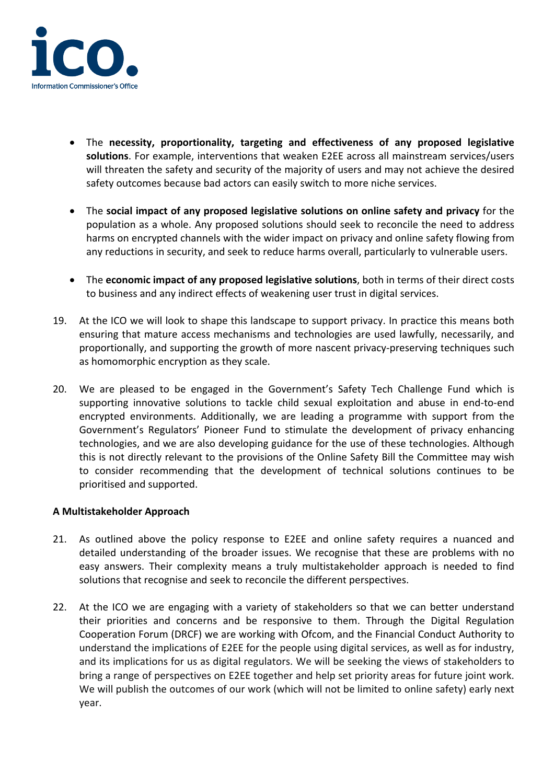

- The **necessity, proportionality, targeting and effectiveness of any proposed legislative solutions**. For example, interventions that weaken E2EE across all mainstream services/users will threaten the safety and security of the majority of users and may not achieve the desired safety outcomes because bad actors can easily switch to more niche services.
- The **social impact of any proposed legislative solutions on online safety and privacy** for the population as a whole. Any proposed solutions should seek to reconcile the need to address harms on encrypted channels with the wider impact on privacy and online safety flowing from any reductions in security, and seek to reduce harms overall, particularly to vulnerable users.
- The **economic impact of any proposed legislative solutions**, both in terms of their direct costs to business and any indirect effects of weakening user trust in digital services.
- 19. At the ICO we will look to shape this landscape to support privacy. In practice this means both ensuring that mature access mechanisms and technologies are used lawfully, necessarily, and proportionally, and supporting the growth of more nascent privacy-preserving techniques such as homomorphic encryption as they scale.
- 20. We are pleased to be engaged in the Government's Safety Tech Challenge Fund which is supporting innovative solutions to tackle child sexual exploitation and abuse in end-to-end encrypted environments. Additionally, we are leading a programme with support from the Government's Regulators' Pioneer Fund to stimulate the development of privacy enhancing technologies, and we are also developing guidance for the use of these technologies. Although this is not directly relevant to the provisions of the Online Safety Bill the Committee may wish to consider recommending that the development of technical solutions continues to be prioritised and supported.

### **A Multistakeholder Approach**

- 21. As outlined above the policy response to E2EE and online safety requires a nuanced and detailed understanding of the broader issues. We recognise that these are problems with no easy answers. Their complexity means a truly multistakeholder approach is needed to find solutions that recognise and seek to reconcile the different perspectives.
- 22. At the ICO we are engaging with a variety of stakeholders so that we can better understand their priorities and concerns and be responsive to them. Through the Digital Regulation Cooperation Forum (DRCF) we are working with Ofcom, and the Financial Conduct Authority to understand the implications of E2EE for the people using digital services, as well as for industry, and its implications for us as digital regulators. We will be seeking the views of stakeholders to bring a range of perspectives on E2EE together and help set priority areas for future joint work. We will publish the outcomes of our work (which will not be limited to online safety) early next year.